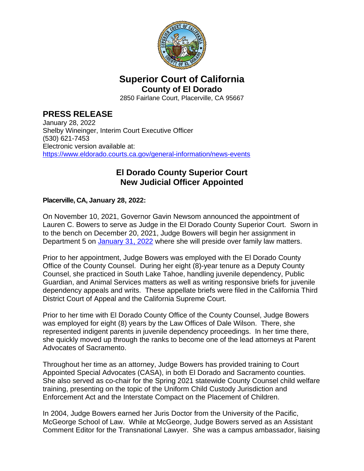

## **Superior Court of California County of El Dorado**

2850 Fairlane Court, Placerville, CA 95667

## **PRESS RELEASE**

January 28, 2022 Shelby Wineinger, Interim Court Executive Officer (530) 621-7453 Electronic version available at: <https://www.eldorado.courts.ca.gov/general-information/news-events>

## **El Dorado County Superior Court New Judicial Officer Appointed**

## **Placerville, CA, January 28, 2022:**

On November 10, 2021, Governor Gavin Newsom announced the appointment of Lauren C. Bowers to serve as Judge in the El Dorado County Superior Court. Sworn in to the bench on December 20, 2021, Judge Bowers will begin her assignment in Department 5 on [January 31, 2022](https://www.eldorado.courts.ca.gov/sites/default/files/eldorado/default/2022-01/Order%20Re.%20Judicial%20Assignment%20Hon.%20Lauren%20C.%20Bowers%20Department%205%20-%201.26.22.pdf) where she will preside over family law matters.

Prior to her appointment, Judge Bowers was employed with the El Dorado County Office of the County Counsel. During her eight (8)-year tenure as a Deputy County Counsel, she practiced in South Lake Tahoe, handling juvenile dependency, Public Guardian, and Animal Services matters as well as writing responsive briefs for juvenile dependency appeals and writs. These appellate briefs were filed in the California Third District Court of Appeal and the California Supreme Court.

Prior to her time with El Dorado County Office of the County Counsel, Judge Bowers was employed for eight (8) years by the Law Offices of Dale Wilson. There, she represented indigent parents in juvenile dependency proceedings. In her time there, she quickly moved up through the ranks to become one of the lead attorneys at Parent Advocates of Sacramento.

Throughout her time as an attorney, Judge Bowers has provided training to Court Appointed Special Advocates (CASA), in both El Dorado and Sacramento counties. She also served as co-chair for the Spring 2021 statewide County Counsel child welfare training, presenting on the topic of the Uniform Child Custody Jurisdiction and Enforcement Act and the Interstate Compact on the Placement of Children.

In 2004, Judge Bowers earned her Juris Doctor from the University of the Pacific, McGeorge School of Law. While at McGeorge, Judge Bowers served as an Assistant Comment Editor for the Transnational Lawyer. She was a campus ambassador, liaising